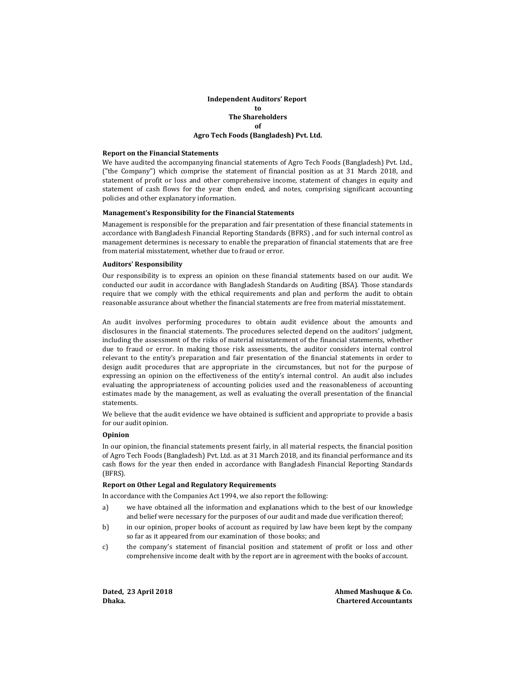### **Independent Auditors' Report to The Shareholders of Agro Tech Foods (Bangladesh) Pvt. Ltd.**

#### **Report on the Financial Statements**

We have audited the accompanying financial statements of Agro Tech Foods (Bangladesh) Pvt. Ltd., ("the Company") which comprise the statement of financial position as at 31 March 2018, and statement of profit or loss and other comprehensive income, statement of changes in equity and statement of cash flows for the year then ended, and notes, comprising significant accounting policies and other explanatory information.

#### **Management's Responsibility for the Financial Statements**

Management is responsible for the preparation and fair presentation of these financial statements in accordance with Bangladesh Financial Reporting Standards (BFRS) , and for such internal control as management determines is necessary to enable the preparation of financial statements that are free from material misstatement, whether due to fraud or error.

#### **Auditors' Responsibility**

Our responsibility is to express an opinion on these financial statements based on our audit. We conducted our audit in accordance with Bangladesh Standards on Auditing (BSA). Those standards require that we comply with the ethical requirements and plan and perform the audit to obtain reasonable assurance about whether the financial statements are free from material misstatement.

An audit involves performing procedures to obtain audit evidence about the amounts and disclosures in the financial statements. The procedures selected depend on the auditors' judgment, including the assessment of the risks of material misstatement of the financial statements, whether due to fraud or error. In making those risk assessments, the auditor considers internal control relevant to the entity's preparation and fair presentation of the financial statements in order to design audit procedures that are appropriate in the circumstances, but not for the purpose of expressing an opinion on the effectiveness of the entity's internal control. An audit also includes evaluating the appropriateness of accounting policies used and the reasonableness of accounting estimates made by the management, as well as evaluating the overall presentation of the financial statements.

We believe that the audit evidence we have obtained is sufficient and appropriate to provide a basis for our audit opinion.

#### **Opinion**

In our opinion, the financial statements present fairly, in all material respects, the financial position of Agro Tech Foods (Bangladesh) Pvt. Ltd. as at 31 March 2018, and its financial performance and its cash flows for the year then ended in accordance with Bangladesh Financial Reporting Standards (BFRS).

#### **Report on Other Legal and Regulatory Requirements**

In accordance with the Companies Act 1994, we also report the following:

- a) we have obtained all the information and explanations which to the best of our knowledge and belief were necessary for the purposes of our audit and made due verification thereof;
- b) in our opinion, proper books of account as required by law have been kept by the company so far as it appeared from our examination of those books; and
- c) the company's statement of financial position and statement of profit or loss and other comprehensive income dealt with by the report are in agreement with the books of account.

**Dated, 23 April 2018 Ahmed Mashuque & Co. Dhaka. Chartered Accountants**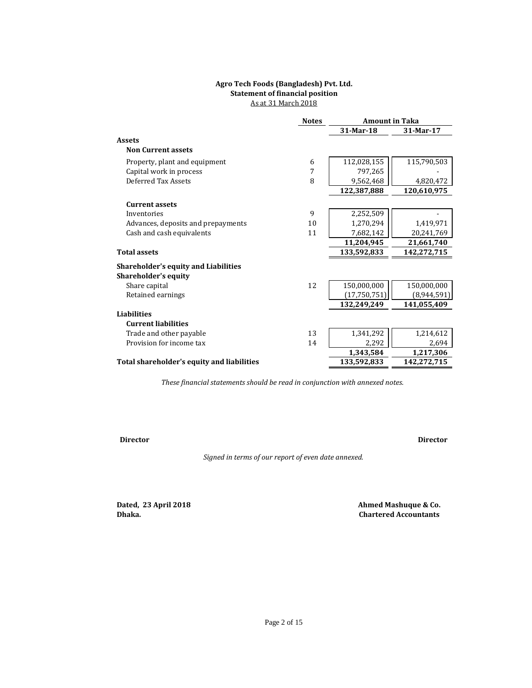# **Agro Tech Foods (Bangladesh) Pvt. Ltd. Statement of financial position** As at 31 March 2018

|                                             | <b>Notes</b> | <b>Amount in Taka</b> |             |
|---------------------------------------------|--------------|-----------------------|-------------|
|                                             |              | 31-Mar-18             | 31-Mar-17   |
| <b>Assets</b>                               |              |                       |             |
| <b>Non Current assets</b>                   |              |                       |             |
| Property, plant and equipment               | 6            | 112,028,155           | 115,790,503 |
| Capital work in process                     | 7            | 797,265               |             |
| Deferred Tax Assets                         | 8            | 9,562,468             | 4,820,472   |
|                                             |              | 122,387,888           | 120,610,975 |
| <b>Current assets</b>                       |              |                       |             |
| Inventories                                 | 9            | 2,252,509             |             |
| Advances, deposits and prepayments          | 10           | 1,270,294             | 1,419,971   |
| Cash and cash equivalents                   | 11           | 7,682,142             | 20,241,769  |
|                                             |              | 11,204,945            | 21,661,740  |
| <b>Total assets</b>                         |              | 133,592,833           | 142,272,715 |
| <b>Shareholder's equity and Liabilities</b> |              |                       |             |
| <b>Shareholder's equity</b>                 |              |                       |             |
| Share capital                               | 12           | 150,000,000           | 150,000,000 |
| Retained earnings                           |              | (17,750,751)          | (8,944,591) |
|                                             |              | 132,249,249           | 141,055,409 |
| <b>Liabilities</b>                          |              |                       |             |
| <b>Current liabilities</b>                  |              |                       |             |
| Trade and other payable                     | 13           | 1,341,292             | 1,214,612   |
| Provision for income tax                    | 14           | 2,292                 | 2,694       |
|                                             |              | 1,343,584             | 1,217,306   |
| Total shareholder's equity and liabilities  |              | 133,592,833           | 142,272,715 |

*These financial statements should be read in conjunction with annexed notes.* 

**Director Director**

*Signed in terms of our report of even date annexed.*

**Dated, 23 April 2018 Dhaka.**

 **Ahmed Mashuque & Co. Chartered Accountants**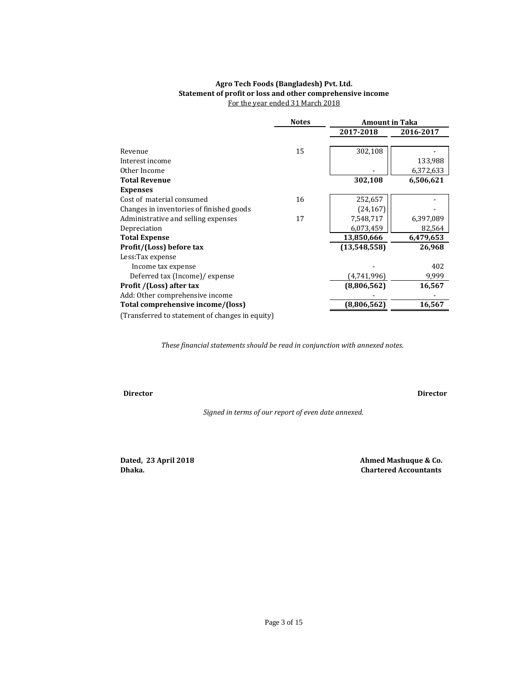# **Agro Tech Foods (Bangladesh) Pvt. Ltd. Statement of profit or loss and other comprehensive income** For the year ended 31 March 2018

|                                                 | <b>Notes</b><br><b>Amount in Taka</b> |              |           |
|-------------------------------------------------|---------------------------------------|--------------|-----------|
|                                                 |                                       | 2017-2018    | 2016-2017 |
|                                                 |                                       |              |           |
| Revenue                                         | 15                                    | 302,108      |           |
| Interest income                                 |                                       |              | 133,988   |
| Other Income                                    |                                       |              | 6,372,633 |
| <b>Total Revenue</b>                            |                                       | 302,108      | 6,506,621 |
| <b>Expenses</b>                                 |                                       |              |           |
| Cost of material consumed                       | 16                                    | 252,657      |           |
| Changes in inventories of finished goods        |                                       | (24, 167)    |           |
| Administrative and selling expenses             | 17                                    | 7,548,717    | 6,397,089 |
| Depreciation                                    |                                       | 6,073,459    | 82,564    |
| <b>Total Expense</b>                            |                                       | 13,850,666   | 6,479,653 |
| Profit/(Loss) before tax                        |                                       | (13,548,558) | 26,968    |
| Less:Tax expense                                |                                       |              |           |
| Income tax expense                              |                                       |              | 402       |
| Deferred tax (Income)/ expense                  |                                       | (4,741,996)  | 9,999     |
| Profit /(Loss) after tax                        |                                       | (8,806,562)  | 16,567    |
| Add: Other comprehensive income                 |                                       |              |           |
| Total comprehensive income/(loss)               |                                       | (8,806,562)  | 16,567    |
| (Transferred to statement of changes in equity) |                                       |              |           |

*These financial statements should be read in conjunction with annexed notes.* 

#### **Director Director**

*Signed in terms of our report of even date annexed.*

**Dated, 23 April 2018 Dhaka.**

 **Ahmed Mashuque & Co. Chartered Accountants**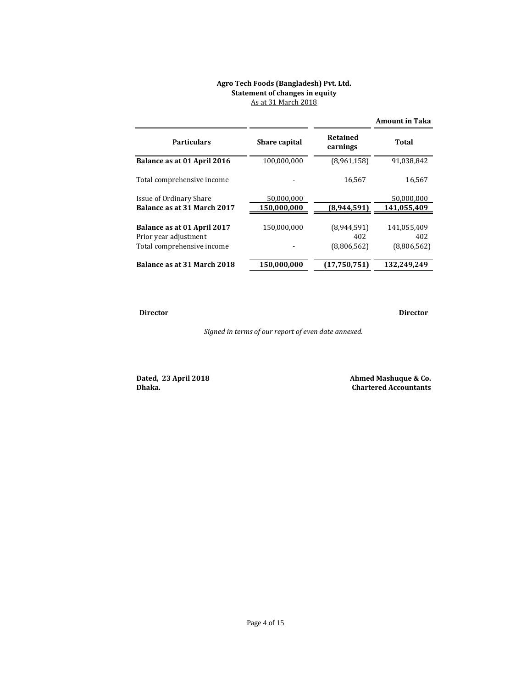# **Agro Tech Foods (Bangladesh) Pvt. Ltd. Statement of changes in equity** As at 31 March 2018

|                                                                                    |                           |                                   | <b>Amount in Taka</b>             |
|------------------------------------------------------------------------------------|---------------------------|-----------------------------------|-----------------------------------|
| <b>Particulars</b>                                                                 | <b>Share capital</b>      | Retained<br>earnings              | Total                             |
| Balance as at 01 April 2016                                                        | 100,000,000               | (8,961,158)                       | 91,038,842                        |
| Total comprehensive income                                                         |                           | 16,567                            | 16,567                            |
| Issue of Ordinary Share<br>Balance as at 31 March 2017                             | 50,000,000<br>150,000,000 | (8,944,591)                       | 50,000,000<br>141,055,409         |
| Balance as at 01 April 2017<br>Prior year adjustment<br>Total comprehensive income | 150.000.000               | (8,944,591)<br>402<br>(8,806,562) | 141.055.409<br>402<br>(8,806,562) |
| Balance as at 31 March 2018                                                        | 150,000,000               | (17,750,751)                      | 132,249,249                       |

#### **Director Director**

*Signed in terms of our report of even date annexed.*

**Dhaka. Chartered Accountants**

**Dated, 23 April 2018 Ahmed Mashuque & Co.**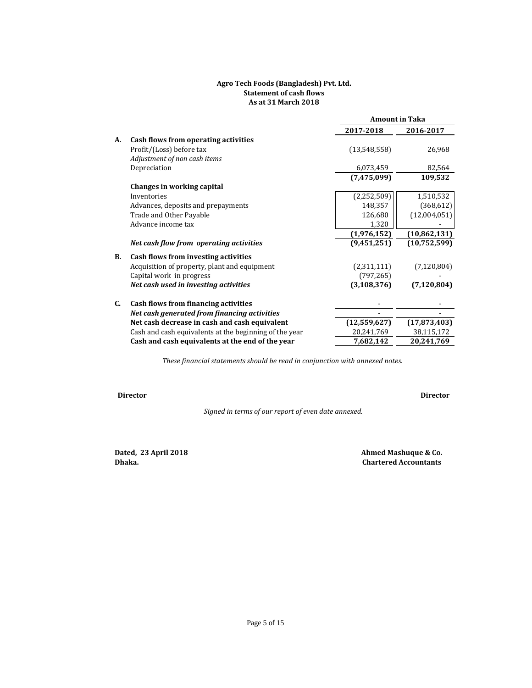# **Agro Tech Foods (Bangladesh) Pvt. Ltd. Statement of cash flows As at 31 March 2018**

|                                                        | <b>Amount in Taka</b>                |                |
|--------------------------------------------------------|--------------------------------------|----------------|
|                                                        | 2017-2018                            | 2016-2017      |
| Cash flows from operating activities                   |                                      |                |
| Profit/(Loss) before tax                               | (13,548,558)                         | 26,968         |
| Adjustment of non cash items                           |                                      |                |
| Depreciation                                           | 6,073,459                            | 82,564         |
|                                                        | (7, 475, 099)                        | 109,532        |
| Changes in working capital                             |                                      |                |
| Inventories                                            | (2, 252, 509)                        | 1,510,532      |
| Advances, deposits and prepayments                     | 148,357                              | (368, 612)     |
| Trade and Other Payable                                | 126,680                              | (12,004,051)   |
| Advance income tax                                     | 1,320                                |                |
|                                                        | (1,976,152)                          | (10, 862, 131) |
| Net cash flow from operating activities                | (9,451,251)                          | (10, 752, 599) |
|                                                        |                                      |                |
| Acquisition of property, plant and equipment           | (2,311,111)                          | (7, 120, 804)  |
| Capital work in progress                               | (797, 265)                           |                |
| Net cash used in investing activities                  | (3, 108, 376)                        | (7, 120, 804)  |
| Cash flows from financing activities                   |                                      |                |
| Net cash generated from financing activities           |                                      |                |
| Net cash decrease in cash and cash equivalent          | (12, 559, 627)                       | (17, 873, 403) |
| Cash and cash equivalents at the beginning of the year | 20,241,769                           | 38,115,172     |
| Cash and cash equivalents at the end of the year       | 7,682,142                            | 20,241,769     |
|                                                        | Cash flows from investing activities |                |

*These financial statements should be read in conjunction with annexed notes.* 

**Director Director**

*Signed in terms of our report of even date annexed.*

**Dated, 23 April 2018 Dhaka.**

 **Ahmed Mashuque & Co. Chartered Accountants**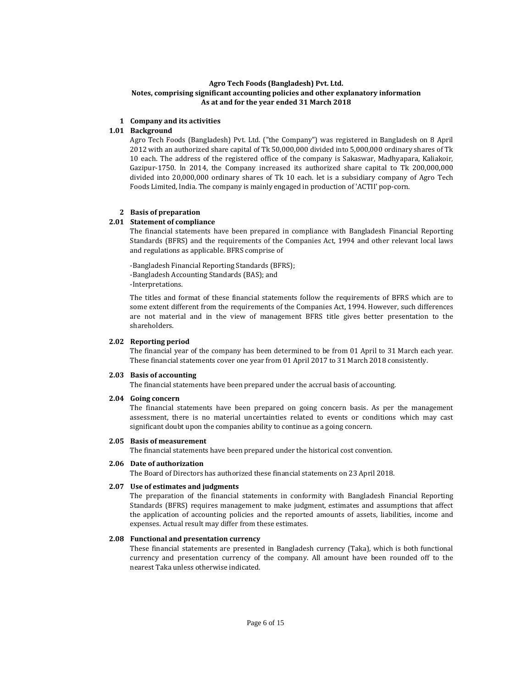# **Agro Tech Foods (Bangladesh) Pvt. Ltd. Notes, comprising significant accounting policies and other explanatory information As at and for the year ended 31 March 2018**

# **1 Company and its activities**

# **1.01 Background**

Agro Tech Foods (Bangladesh) Pvt. Ltd. ("the Company") was registered in Bangladesh on 8 April 2012 with an authorized share capital of Tk 50,000,000 divided into 5,000,000 ordinary shares of Tk 10 each. The address of the registered office of the company is Sakaswar, Madhyapara, Kaliakoir, Gazipur-1750. ln 2014, the Company increased its authorized share capital to Tk 200,000,000 divided into 20,000,000 ordinary shares of Tk 10 each. let is a subsidiary company of Agro Tech Foods Limited, lndia. The company is mainly engaged in production of 'ACTII' pop-corn.

# **2 Basis of preparation**

# **2.01 Statement of compliance**

The financial statements have been prepared in compliance with Bangladesh Financial Reporting Standards (BFRS) and the requirements of the Companies Act, 1994 and other relevant local laws and regulations as applicable. BFRS comprise of

-Bangladesh Financial Reporting Standards (BFRS);

-Bangladesh Accounting Standards (BAS); and

-Interpretations.

The titles and format of these financial statements follow the requirements of BFRS which are to some extent different from the requirements of the Companies Act, 1994. However, such differences are not material and in the view of management BFRS title gives better presentation to the shareholders.

# **2.02 Reporting period**

The financial year of the company has been determined to be from 01 April to 31 March each year. These financial statements cover one year from 01 April 2017 to 31 March 2018 consistently.

# **2.03 Basis of accounting**

The financial statements have been prepared under the accrual basis of accounting.

# **2.04 Going concern**

The financial statements have been prepared on going concern basis. As per the management assessment, there is no material uncertainties related to events or conditions which may cast significant doubt upon the companies ability to continue as a going concern.

## **2.05 Basis of measurement**

The financial statements have been prepared under the historical cost convention.

# **2.06 Date of authorization**

The Board of Directors has authorized these financial statements on 23 April 2018.

# **2.07 Use of estimates and judgments**

The preparation of the financial statements in conformity with Bangladesh Financial Reporting Standards (BFRS) requires management to make judgment, estimates and assumptions that affect the application of accounting policies and the reported amounts of assets, liabilities, income and expenses. Actual result may differ from these estimates.

# **2.08 Functional and presentation currency**

These financial statements are presented in Bangladesh currency (Taka), which is both functional currency and presentation currency of the company. All amount have been rounded off to the nearest Taka unless otherwise indicated.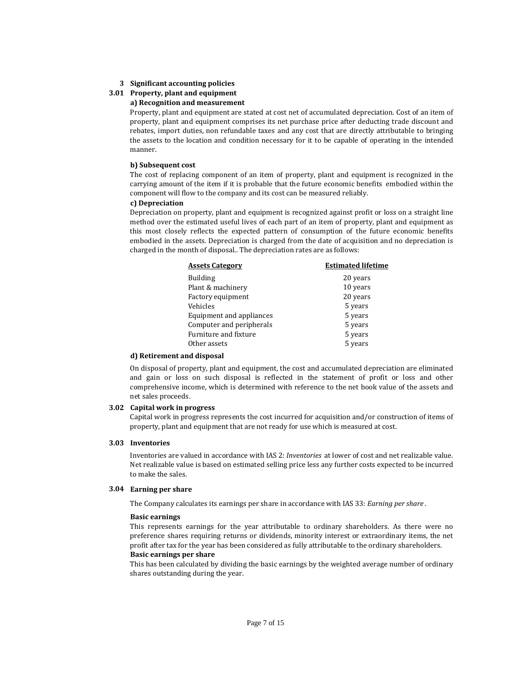## **3 Significant accounting policies**

# **3.01 Property, plant and equipment**

# **a) Recognition and measurement**

Property, plant and equipment are stated at cost net of accumulated depreciation. Cost of an item of property, plant and equipment comprises its net purchase price after deducting trade discount and rebates, import duties, non refundable taxes and any cost that are directly attributable to bringing the assets to the location and condition necessary for it to be capable of operating in the intended manner.

## **b) Subsequent cost**

The cost of replacing component of an item of property, plant and equipment is recognized in the carrying amount of the item if it is probable that the future economic benefits embodied within the component will flow to the company and its cost can be measured reliably.

#### **c) Depreciation**

Depreciation on property, plant and equipment is recognized against profit or loss on a straight line method over the estimated useful lives of each part of an item of property, plant and equipment as this most closely reflects the expected pattern of consumption of the future economic benefits embodied in the assets. Depreciation is charged from the date of acquisition and no depreciation is charged in the month of disposal.. The depreciation rates are as follows:

| <b>Assets Category</b>   | <b>Estimated lifetime</b> |
|--------------------------|---------------------------|
| <b>Building</b>          | 20 years                  |
| Plant & machinery        | 10 years                  |
| Factory equipment        | 20 years                  |
| Vehicles                 | 5 years                   |
| Equipment and appliances | 5 years                   |
| Computer and peripherals | 5 years                   |
| Furniture and fixture    | 5 years                   |
| Other assets             | 5 years                   |

#### **d) Retirement and disposal**

On disposal of property, plant and equipment, the cost and accumulated depreciation are eliminated and gain or loss on such disposal is reflected in the statement of profit or loss and other comprehensive income, which is determined with reference to the net book value of the assets and net sales proceeds.

#### **3.02 Capital work in progress**

Capital work in progress represents the cost incurred for acquisition and/or construction of items of property, plant and equipment that are not ready for use which is measured at cost.

#### **3.03 Inventories**

Inventories are valued in accordance with IAS 2: *Inventories* at lower of cost and net realizable value. Net realizable value is based on estimated selling price less any further costs expected to be incurred to make the sales.

#### **3.04 Earning per share**

The Company calculates its earnings per share in accordance with IAS 33: *Earning per share* .

#### **Basic earnings**

**Basic earnings per share** This represents earnings for the year attributable to ordinary shareholders. As there were no preference shares requiring returns or dividends, minority interest or extraordinary items, the net profit after tax for the year has been considered as fully attributable to the ordinary shareholders.

This has been calculated by dividing the basic earnings by the weighted average number of ordinary shares outstanding during the year.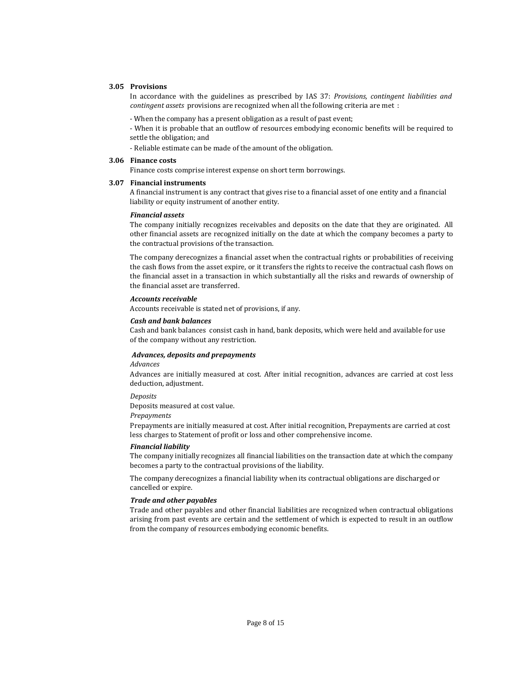#### **3.05 Provisions**

In accordance with the guidelines as prescribed by IAS 37: *Provisions, contingent liabilities and contingent assets* provisions are recognized when all the following criteria are met :

- When the company has a present obligation as a result of past event;

- When it is probable that an outflow of resources embodying economic benefits will be required to settle the obligation; and

- Reliable estimate can be made of the amount of the obligation.

#### **3.06 Finance costs**

Finance costs comprise interest expense on short term borrowings.

#### **3.07 Financial instruments**

A financial instrument is any contract that gives rise to a financial asset of one entity and a financial liability or equity instrument of another entity.

#### *Financial assets*

The company initially recognizes receivables and deposits on the date that they are originated. All other financial assets are recognized initially on the date at which the company becomes a party to the contractual provisions of the transaction.

The company derecognizes a financial asset when the contractual rights or probabilities of receiving the cash flows from the asset expire, or it transfers the rights to receive the contractual cash flows on the financial asset in a transaction in which substantially all the risks and rewards of ownership of the financial asset are transferred.

#### *Accounts receivable*

Accounts receivable is stated net of provisions, if any.

#### *Cash and bank balances*

Cash and bank balances consist cash in hand, bank deposits, which were held and available for use of the company without any restriction.

#### *Advances, deposits and prepayments*

#### *Advances*

Advances are initially measured at cost. After initial recognition, advances are carried at cost less deduction, adjustment.

### *Deposits*

Deposits measured at cost value.

#### *Prepayments*

Prepayments are initially measured at cost. After initial recognition, Prepayments are carried at cost less charges to Statement of profit or loss and other comprehensive income.

#### *Financial liability*

The company initially recognizes all financial liabilities on the transaction date at which the company becomes a party to the contractual provisions of the liability.

The company derecognizes a financial liability when its contractual obligations are discharged or cancelled or expire.

## *Trade and other payables*

Trade and other payables and other financial liabilities are recognized when contractual obligations arising from past events are certain and the settlement of which is expected to result in an outflow from the company of resources embodying economic benefits.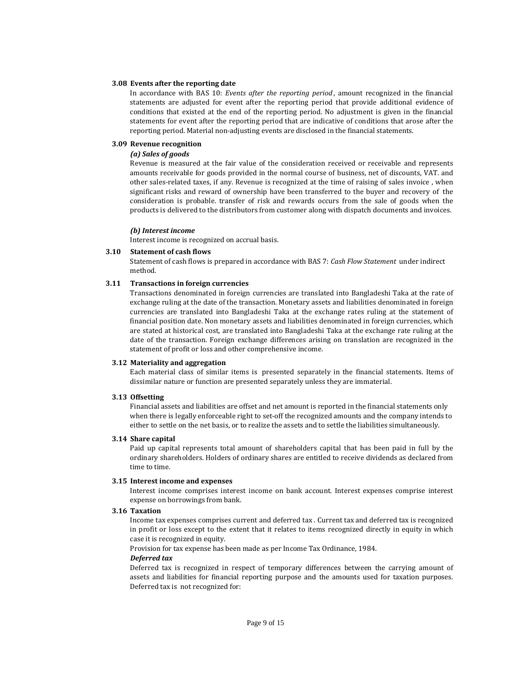#### **3.08 Events after the reporting date**

In accordance with BAS 10: *Events after the reporting period* , amount recognized in the financial statements are adjusted for event after the reporting period that provide additional evidence of conditions that existed at the end of the reporting period. No adjustment is given in the financial statements for event after the reporting period that are indicative of conditions that arose after the reporting period. Material non-adjusting events are disclosed in the financial statements.

#### **3.09 Revenue recognition**

# *(a) Sales of goods*

Revenue is measured at the fair value of the consideration received or receivable and represents amounts receivable for goods provided in the normal course of business, net of discounts, VAT. and other sales-related taxes, if any. Revenue is recognized at the time of raising of sales invoice , when significant risks and reward of ownership have been transferred to the buyer and recovery of the consideration is probable. transfer of risk and rewards occurs from the sale of goods when the products is delivered to the distributors from customer along with dispatch documents and invoices.

#### *(b) Interest income*

Interest income is recognized on accrual basis.

# **3.10 Statement of cash flows**

Statement of cash flows is prepared in accordance with BAS 7: *Cash Flow Statement* under indirect method.

# **3.11 Transactions in foreign currencies**

Transactions denominated in foreign currencies are translated into Bangladeshi Taka at the rate of exchange ruling at the date of the transaction. Monetary assets and liabilities denominated in foreign currencies are translated into Bangladeshi Taka at the exchange rates ruling at the statement of financial position date. Non monetary assets and liabilities denominated in foreign currencies, which are stated at historical cost, are translated into Bangladeshi Taka at the exchange rate ruling at the date of the transaction. Foreign exchange differences arising on translation are recognized in the statement of profit or loss and other comprehensive income.

#### **3.12 Materiality and aggregation**

Each material class of similar items is presented separately in the financial statements. Items of dissimilar nature or function are presented separately unless they are immaterial.

#### **3.13 Offsetting**

Financial assets and liabilities are offset and net amount is reported in the financial statements only when there is legally enforceable right to set-off the recognized amounts and the company intends to either to settle on the net basis, or to realize the assets and to settle the liabilities simultaneously.

#### **3.14 Share capital**

Paid up capital represents total amount of shareholders capital that has been paid in full by the ordinary shareholders. Holders of ordinary shares are entitled to receive dividends as declared from time to time.

### **3.15 Interest income and expenses**

Interest income comprises interest income on bank account. Interest expenses comprise interest expense on borrowings from bank.

#### **3.16 Taxation**

Income tax expenses comprises current and deferred tax . Current tax and deferred tax is recognized in profit or loss except to the extent that it relates to items recognized directly in equity in which case it is recognized in equity.

Provision for tax expense has been made as per Income Tax Ordinance, 1984.

# *Deferred tax*

Deferred tax is recognized in respect of temporary differences between the carrying amount of assets and liabilities for financial reporting purpose and the amounts used for taxation purposes. Deferred tax is not recognized for: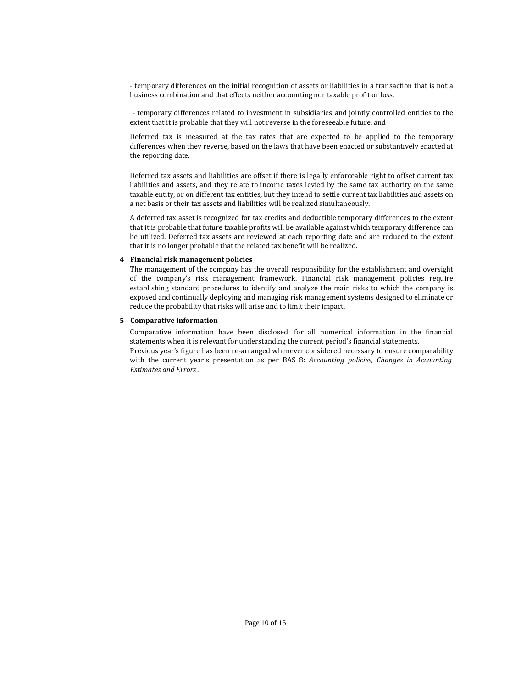- temporary differences on the initial recognition of assets or liabilities in a transaction that is not a business combination and that effects neither accounting nor taxable profit or loss.

- temporary differences related to investment in subsidiaries and jointly controlled entities to the extent that it is probable that they will not reverse in the foreseeable future, and

Deferred tax is measured at the tax rates that are expected to be applied to the temporary differences when they reverse, based on the laws that have been enacted or substantively enacted at the reporting date.

Deferred tax assets and liabilities are offset if there is legally enforceable right to offset current tax liabilities and assets, and they relate to income taxes levied by the same tax authority on the same taxable entity, or on different tax entities, but they intend to settle current tax liabilities and assets on a net basis or their tax assets and liabilities will be realized simultaneously.

A deferred tax asset is recognized for tax credits and deductible temporary differences to the extent that it is probable that future taxable profits will be available against which temporary difference can be utilized. Deferred tax assets are reviewed at each reporting date and are reduced to the extent that it is no longer probable that the related tax benefit will be realized.

## **4 Financial risk management policies**

The management of the company has the overall responsibility for the establishment and oversight of the company's risk management framework. Financial risk management policies require establishing standard procedures to identify and analyze the main risks to which the company is exposed and continually deploying and managing risk management systems designed to eliminate or reduce the probability that risks will arise and to limit their impact.

#### **5 Comparative information**

Comparative information have been disclosed for all numerical information in the financial statements when it is relevant for understanding the current period's financial statements. Previous year's figure has been re-arranged whenever considered necessary to ensure comparability with the current year's presentation as per BAS 8: *Accounting policies, Changes in Accounting Estimates and Errors*.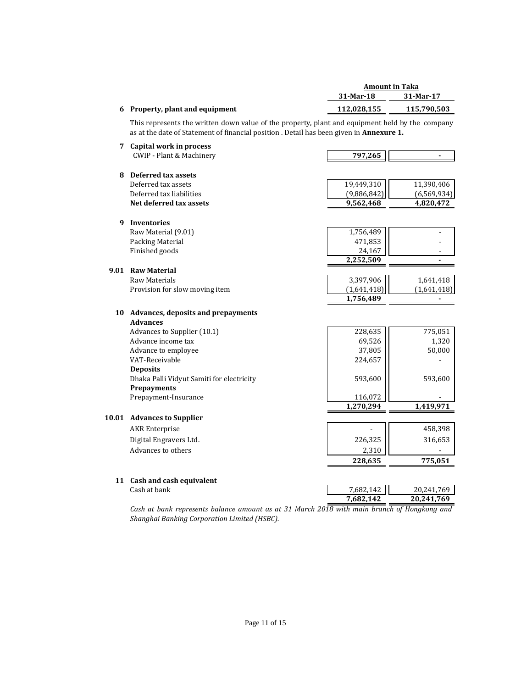|                                 |                        | Amount in Taka |  |
|---------------------------------|------------------------|----------------|--|
|                                 | 31-Mar-18<br>31-Mar-17 |                |  |
| 6 Property, plant and equipment | 112.028.155            | 115,790,503    |  |

This represents the written down value of the property, plant and equipment held by the company as at the date of Statement of financial position . Detail has been given in **Annexure 1.**

# **7 Capital work in process**

| <b>CWIP</b> - Plant & Machinery | 797,265     |               |
|---------------------------------|-------------|---------------|
| Deferred tax assets<br>8        |             |               |
| Deferred tax assets             | 19,449,310  | 11,390,406    |
| Deferred tax liabilities        | (9,886,842) | (6, 569, 934) |
| Net deferred tax assets         | 9,562,468   | 4,820,472     |

| Raw Material (9.01) | 1,756,489 | $\overline{\phantom{a}}$ |
|---------------------|-----------|--------------------------|
| Packing Material    | 471,853   | $\overline{\phantom{0}}$ |
| Finished goods      | 24.167    |                          |
|                     | 2,252,509 | ۰                        |

# **9.01 Raw Material** Raw Materials Provision for slow moving ite

|     | 2,252,509   | ۰           |
|-----|-------------|-------------|
|     |             |             |
|     | 3,397,906   | 1,641,418   |
| ۱m. | (1,641,418) | (1,641,418) |
|     | 1,756,489   |             |

# **10 Advances, deposits and prepayments**

| <b>Advances</b>                           |           |           |
|-------------------------------------------|-----------|-----------|
| Advances to Supplier (10.1)               | 228,635   | 775,051   |
| Advance income tax                        | 69,526    | 1,320     |
| Advance to employee                       | 37,805    | 50,000    |
| VAT-Receivable                            | 224,657   |           |
| <b>Deposits</b>                           |           |           |
| Dhaka Palli Vidyut Samiti for electricity | 593.600   | 593,600   |
| <b>Prepayments</b>                        |           |           |
| Prepayment-Insurance                      | 116,072   |           |
|                                           | 1,270,294 | 1,419,971 |

# **10.01 Advances to Supplier**

| AKR Enterprise         | ۰       | 458,398 |
|------------------------|---------|---------|
| Digital Engravers Ltd. | 226,325 | 316,653 |
| Advances to others     | 2,310   |         |
|                        | 228,635 | 775,051 |
|                        |         |         |

#### **11 Cash and cash equivalent** Cash at bank

| 7.682.142                                                         | 20.241.769 |
|-------------------------------------------------------------------|------------|
| 7,682,142                                                         | 20,241,769 |
| $24 M_{\odot}$ $1.2040 M_{\odot}$ $1.2 M_{\odot}$ $1.2 M_{\odot}$ |            |

*Cash at bank represents balance amount as at 31 March 2018 with main branch of Hongkong and Shanghai Banking Corporation Limited (HSBC).*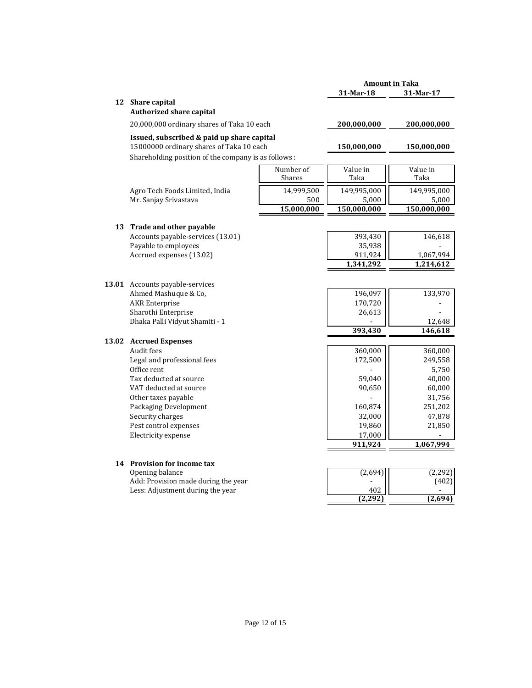|                                                                 |             | <b>Amount in Taka</b> |                  |  |
|-----------------------------------------------------------------|-------------|-----------------------|------------------|--|
|                                                                 |             | 31-Mar-18             | 31-Mar-17        |  |
| 12 Share capital                                                |             |                       |                  |  |
| <b>Authorized share capital</b>                                 |             |                       |                  |  |
| 20,000,000 ordinary shares of Taka 10 each                      | 200,000,000 | 200,000,000           |                  |  |
| Issued, subscribed & paid up share capital                      |             |                       |                  |  |
| 15000000 ordinary shares of Taka 10 each                        | 150,000,000 | 150,000,000           |                  |  |
| Shareholding position of the company is as follows :            |             |                       |                  |  |
|                                                                 | Number of   | Value in              | Value in         |  |
|                                                                 | Shares      | Taka                  | Taka             |  |
| Agro Tech Foods Limited, India                                  | 14,999,500  | 149,995,000           | 149,995,000      |  |
| Mr. Sanjay Srivastava                                           | 500         | 5,000                 | 5,000            |  |
|                                                                 | 15,000,000  | 150,000,000           | 150,000,000      |  |
|                                                                 |             |                       |                  |  |
| 13 Trade and other payable<br>Accounts payable-services (13.01) |             |                       |                  |  |
| Payable to employees                                            |             | 393,430<br>35,938     | 146,618          |  |
| Accrued expenses (13.02)                                        |             | 911,924               | 1,067,994        |  |
|                                                                 |             | 1,341,292             | 1,214,612        |  |
|                                                                 |             |                       |                  |  |
| <b>13.01</b> Accounts payable-services                          |             |                       |                  |  |
| Ahmed Mashuque & Co,                                            |             | 196,097               | 133,970          |  |
| <b>AKR</b> Enterprise                                           |             | 170,720               |                  |  |
| Sharothi Enterprise                                             |             | 26,613                |                  |  |
| Dhaka Palli Vidyut Shamiti - 1                                  |             |                       | 12,648           |  |
|                                                                 |             | 393,430               | 146,618          |  |
| 13.02 Accrued Expenses                                          |             |                       |                  |  |
| Audit fees                                                      |             | 360,000               | 360,000          |  |
| Legal and professional fees                                     |             | 172,500               | 249,558          |  |
| Office rent                                                     |             |                       | 5,750            |  |
| Tax deducted at source                                          |             | 59,040                | 40,000           |  |
| VAT deducted at source<br>Other taxes payable                   |             | 90,650                | 60,000<br>31,756 |  |
| Packaging Development                                           |             | 160,874               | 251,202          |  |
| Security charges                                                |             | 32,000                | 47,878           |  |
| Pest control expenses                                           |             | 19,860                | 21,850           |  |
| Electricity expense                                             |             | 17,000                |                  |  |
|                                                                 |             | 911,924               | 1,067,994        |  |
|                                                                 |             |                       |                  |  |
| 14 Provision for income tax                                     |             |                       |                  |  |
| Opening balance                                                 |             | (2,694)               | (2, 292)         |  |
| Add: Provision made during the year                             |             |                       | (402)            |  |
| Less: Adjustment during the year                                |             | 402<br>(2, 292)       | (2,694)          |  |
|                                                                 |             |                       |                  |  |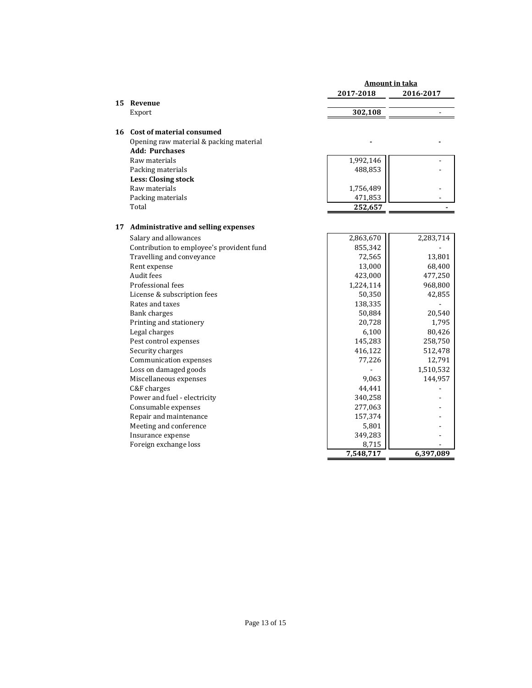|    |                                           | <b>Amount in taka</b> |           |  |  |
|----|-------------------------------------------|-----------------------|-----------|--|--|
|    |                                           | 2017-2018             | 2016-2017 |  |  |
|    | 15 Revenue                                |                       |           |  |  |
|    | Export                                    | 302,108               |           |  |  |
|    | 16 Cost of material consumed              |                       |           |  |  |
|    | Opening raw material & packing material   |                       |           |  |  |
|    | <b>Add: Purchases</b>                     |                       |           |  |  |
|    | Raw materials                             | 1,992,146             |           |  |  |
|    | Packing materials                         | 488,853               |           |  |  |
|    | <b>Less: Closing stock</b>                |                       |           |  |  |
|    | Raw materials                             | 1,756,489             |           |  |  |
|    | Packing materials                         | 471,853               |           |  |  |
|    | Total                                     | 252,657               |           |  |  |
| 17 | Administrative and selling expenses       |                       |           |  |  |
|    | Salary and allowances                     | 2,863,670             | 2,283,714 |  |  |
|    | Contribution to employee's provident fund | 855,342               |           |  |  |
|    | Travelling and conveyance                 | 72,565                | 13,801    |  |  |
|    | Rent expense                              | 13,000                | 68,400    |  |  |
|    | Audit fees                                | 423,000               | 477,250   |  |  |
|    | Professional fees                         | 1,224,114             | 968,800   |  |  |
|    | License & subscription fees               | 50,350                | 42,855    |  |  |
|    | Rates and taxes                           | 138,335               |           |  |  |
|    | Bank charges                              | 50,884                | 20,540    |  |  |
|    | Printing and stationery                   | 20,728                | 1,795     |  |  |
|    | Legal charges                             | 6,100                 | 80,426    |  |  |
|    | Pest control expenses                     | 145,283               | 258,750   |  |  |
|    | Security charges                          | 416,122               | 512,478   |  |  |
|    | Communication expenses                    | 77,226                | 12,791    |  |  |
|    | Loss on damaged goods                     |                       | 1,510,532 |  |  |
|    | Miscellaneous expenses                    | 9,063                 | 144,957   |  |  |
|    | C&F charges                               | 44,441                |           |  |  |
|    | Power and fuel - electricity              | 340,258               |           |  |  |
|    | Consumable expenses                       | 277,063               |           |  |  |
|    | Repair and maintenance                    | 157,374               |           |  |  |
|    | Meeting and conference                    | 5,801                 |           |  |  |
|    | Insurance expense                         | 349,283               |           |  |  |
|    | Foreign exchange loss                     | 8,715                 |           |  |  |
|    |                                           | 7,548,717             | 6,397,089 |  |  |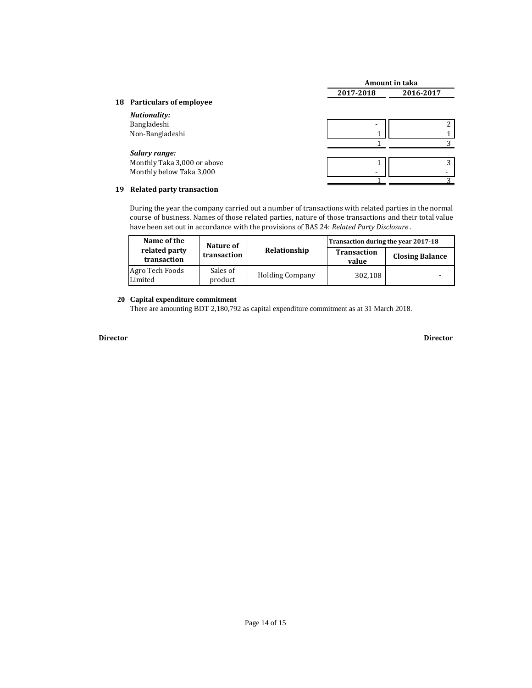|                             | <b>Amount in taka</b> |           |  |  |
|-----------------------------|-----------------------|-----------|--|--|
|                             | 2017-2018             | 2016-2017 |  |  |
| 18 Particulars of employee  |                       |           |  |  |
| <b>Nationality:</b>         |                       |           |  |  |
| Bangladeshi                 | -                     |           |  |  |
| Non-Bangladeshi             |                       |           |  |  |
|                             |                       |           |  |  |
| Salary range:               |                       |           |  |  |
| Monthly Taka 3,000 or above |                       |           |  |  |
| Monthly below Taka 3,000    |                       |           |  |  |
|                             |                       |           |  |  |

# **19 Related party transaction**

During the year the company carried out a number of transactions with related parties in the normal course of business. Names of those related parties, nature of those transactions and their total value have been set out in accordance with the provisions of BAS 24: *Related Party Disclosure* .

| Name of the                  | Nature of<br>transaction |                        | Transaction during the year 2017-18 |                        |  |
|------------------------------|--------------------------|------------------------|-------------------------------------|------------------------|--|
| related party<br>transaction |                          | Relationship           | Transaction<br>value                | <b>Closing Balance</b> |  |
| Agro Tech Foods<br>Limited   | Sales of<br>product      | <b>Holding Company</b> | 302,108                             |                        |  |

# **20 Capital expenditure commitment**

There are amounting BDT 2,180,792 as capital expenditure commitment as at 31 March 2018.

#### **Director Director**